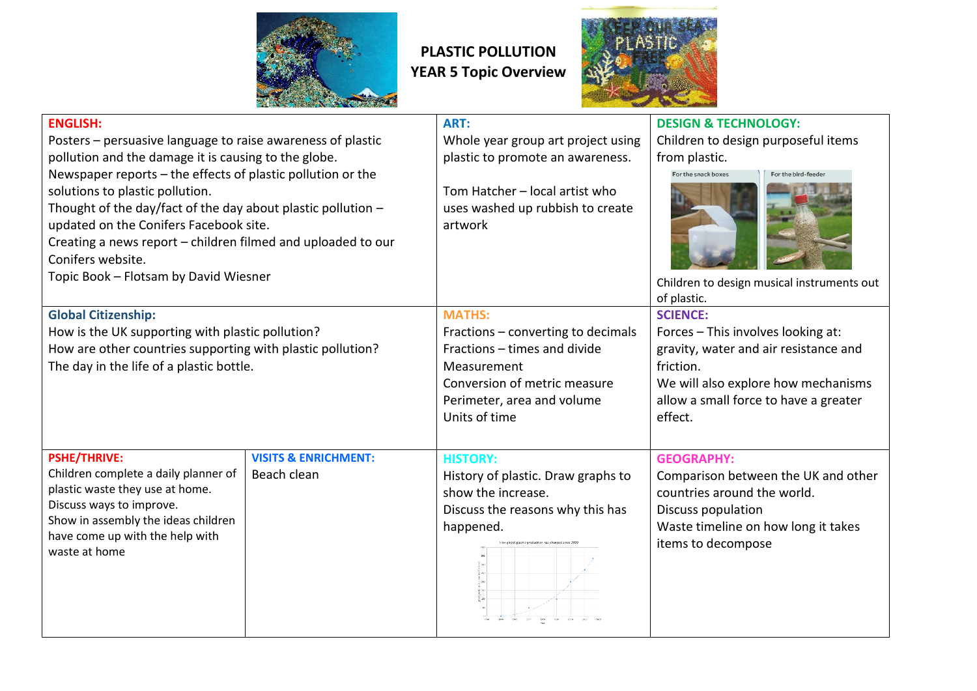

## **PLASTIC POLLUTION YEAR 5 Topic Overview**



| A DAMA AND A RESIDENCE OF STREET                               |                                 |                                    |                                            |  |
|----------------------------------------------------------------|---------------------------------|------------------------------------|--------------------------------------------|--|
| <b>ENGLISH:</b>                                                |                                 | ART:                               | <b>DESIGN &amp; TECHNOLOGY:</b>            |  |
| Posters – persuasive language to raise awareness of plastic    |                                 | Whole year group art project using | Children to design purposeful items        |  |
| pollution and the damage it is causing to the globe.           |                                 | plastic to promote an awareness.   | from plastic.                              |  |
| Newspaper reports - the effects of plastic pollution or the    |                                 |                                    | For the snack boxes<br>For the bird-feeder |  |
| solutions to plastic pollution.                                |                                 | Tom Hatcher - local artist who     |                                            |  |
| Thought of the day/fact of the day about plastic pollution $-$ |                                 | uses washed up rubbish to create   |                                            |  |
| updated on the Conifers Facebook site.                         |                                 | artwork                            |                                            |  |
| Creating a news report - children filmed and uploaded to our   |                                 |                                    |                                            |  |
| Conifers website.                                              |                                 |                                    |                                            |  |
| Topic Book - Flotsam by David Wiesner                          |                                 |                                    | Children to design musical instruments out |  |
|                                                                |                                 |                                    | of plastic.                                |  |
| <b>Global Citizenship:</b>                                     |                                 | <b>MATHS:</b>                      | <b>SCIENCE:</b>                            |  |
| How is the UK supporting with plastic pollution?               |                                 | Fractions – converting to decimals | Forces - This involves looking at:         |  |
| How are other countries supporting with plastic pollution?     |                                 | Fractions - times and divide       | gravity, water and air resistance and      |  |
| The day in the life of a plastic bottle.                       |                                 | Measurement                        | friction.                                  |  |
|                                                                |                                 | Conversion of metric measure       | We will also explore how mechanisms        |  |
|                                                                |                                 | Perimeter, area and volume         | allow a small force to have a greater      |  |
|                                                                |                                 | Units of time                      | effect.                                    |  |
|                                                                |                                 |                                    |                                            |  |
| <b>PSHE/THRIVE:</b>                                            | <b>VISITS &amp; ENRICHMENT:</b> | <b>HISTORY:</b>                    | <b>GEOGRAPHY:</b>                          |  |
| Children complete a daily planner of                           | Beach clean                     | History of plastic. Draw graphs to | Comparison between the UK and other        |  |
| plastic waste they use at home.                                |                                 | show the increase.                 | countries around the world.                |  |
| Discuss ways to improve.                                       |                                 | Discuss the reasons why this has   | Discuss population                         |  |
| Show in assembly the ideas children                            |                                 | happened.                          | Waste timeline on how long it takes        |  |
| have come up with the help with                                |                                 |                                    | items to decompose                         |  |
| waste at home                                                  |                                 |                                    |                                            |  |
|                                                                |                                 |                                    |                                            |  |
|                                                                |                                 |                                    |                                            |  |
|                                                                |                                 |                                    |                                            |  |
|                                                                |                                 |                                    |                                            |  |